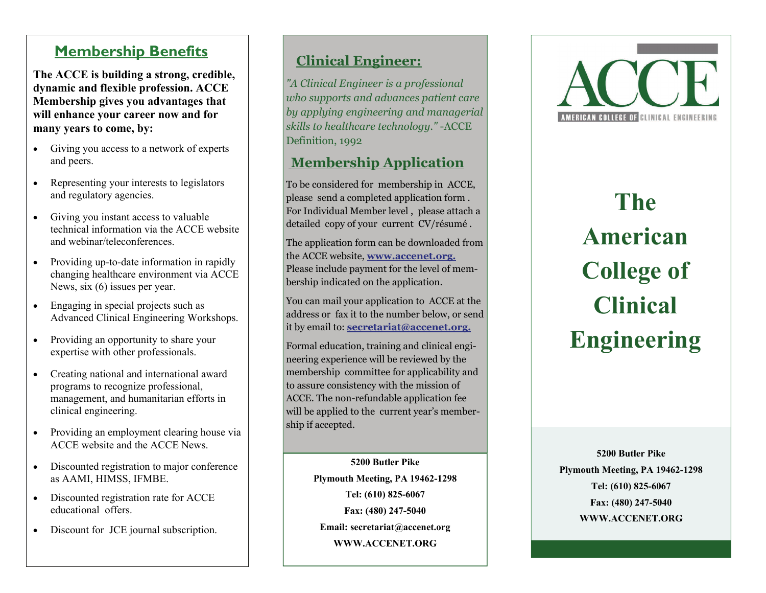#### **Membership Benefits**

**The ACCE is building a strong, credible, dynamic and flexible profession. ACCE Membership gives you advantages that will enhance your career now and for many years to come, by:** 

- $\bullet$  Giving you access to a network of experts and peers.
- $\bullet$  Representing your interests to legislators and regulatory agencies.
- $\bullet$  Giving you instant access to valuable technical information via the ACCE website and webinar/teleconferences.
- $\bullet$  Providing up-to-date information in rapidly changing healthcare environment via ACCE News, six (6) issues per year.
- $\bullet$  Engaging in special projects such as Advanced Clinical Engineering Workshops.
- $\bullet$  Providing an opportunity to share your expertise with other professionals.
- $\bullet$  Creating national and international award programs to recognize professional, management, and humanitarian efforts in clinical engineering.
- $\bullet$  Providing an employment clearing house via ACCE website and the ACCE News.
- Discounted registration to major conference as AAMI, HIMSS, IFMBE.
- $\bullet$  Discounted registration rate for ACCE educational offers.
- $\bullet$ Discount for JCE journal subscription.

#### **Clinical Engineer:**

*"A Clinical Engineer is a professional who supports and advances patient care by applying engineering and managerial skills to healthcare technology."* -ACCE Definition, 1992

#### **Membership Application**

To be considered for membership in ACCE, please send a completed application form . For Individual Member level , please attach a detailed copy of your current CV/résumé .

The application form can be downloaded from the ACCE website, **www.accenet.org.**  Please include payment for the level of membership indicated on the application.

You can mail your application to ACCE at the address or fax it to the number below, or send it by email to: **secretariat@accenet.org.**

Formal education, training and clinical engineering experience will be reviewed by the membership committee for applicability and to assure consistency with the mission of ACCE. The non-refundable application fee will be applied to the current year's membership if accepted.

> **5200 Butler Pike Plymouth Meeting, PA 19462-1298 Tel: (610) 825-6067 Fax: (480) 247-5040 Email: secretariat@accenet.org WWW.ACCENET.ORG**



**The American College of Clinical Engineering** 

**5200 Butler Pike Plymouth Meeting, PA 19462-1298 Tel: (610) 825-6067 Fax: (480) 247-5040 WWW.ACCENET.ORG**